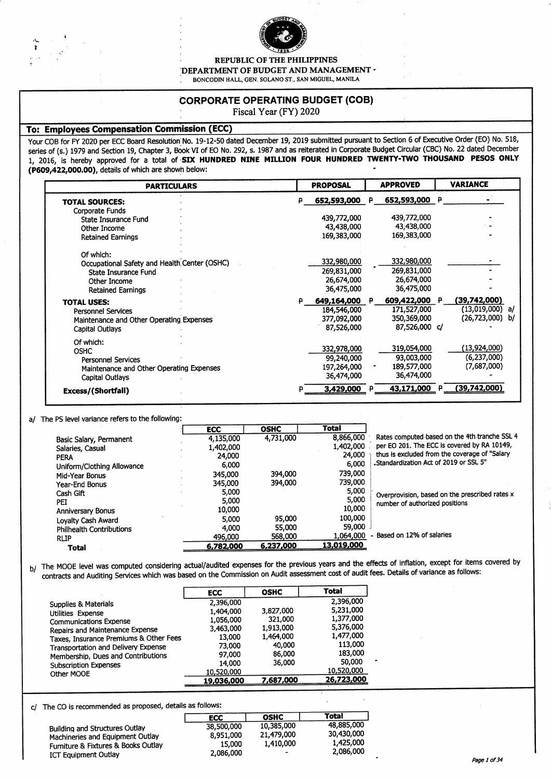

**REPUBLIC OF THE PHILIPPINES** 

DEPARTMENT OF BUDGET AND MANAGEMENT .

BONCODIN HALL, GEN. SOLANO ST., SAN MIGUEL, MANILA

#### **CORPORATE OPERATING BUDGET (COB)**

Fiscal Year (FY) 2020

#### **To: Employees Compensation Commission (ECC)**

Your COB for FY 2020 per ECC Board Resolution No. 19-12-50 dated December 19, 2019 submitted pursuant to Section 6 of Executive Order (EO) No. 518, series of (s.) 1979 and Section 19, Chapter 3, Book VI of EO No. 292, s. 1987 and as reiterated in Corporate Budget Circular (CBC) No. 22 dated December 1, 2016, is hereby approved for a total of SIX HUNDRED NINE MILLION FOUR HUNDRED TWENTY-TWO THOUSAND PESOS ONLY (P609,422,000.00), details of which are shown below:

| <b>PARTICULARS</b>                                                                                                            |  | <b>PROPOSAL</b>                                           |              | <b>APPROVED</b>                                              | <b>VARIANCE</b>                                           |
|-------------------------------------------------------------------------------------------------------------------------------|--|-----------------------------------------------------------|--------------|--------------------------------------------------------------|-----------------------------------------------------------|
| <b>TOTAL SOURCES:</b>                                                                                                         |  | 652,593,000                                               | ₽.           | 652,593,000 P                                                |                                                           |
| Corporate Funds<br>State Insurance Fund<br>Other Income<br><b>Retained Earnings</b>                                           |  | 439,772,000<br>43,438,000<br>169,383,000                  |              | 439,772,000<br>43,438,000<br>169,383,000                     |                                                           |
| Of which:<br>Occupational Safety and Health Center (OSHC)<br>State Insurance Fund<br>Other Income<br><b>Retained Earnings</b> |  | 332,980,000<br>269,831,000<br>26,674,000<br>36,475,000    |              | 332,980,000<br>269,831,000<br>26,674,000<br>36,475,000       |                                                           |
| <b>TOTAL USES:</b><br><b>Personnel Services</b><br>Maintenance and Other Operating Expenses<br><b>Capital Outlays</b>         |  | 649,164,000 P<br>184,546,000<br>377,092,000<br>87,526,000 |              | 609,422,000 P<br>171,527,000<br>350,369,000<br>87,526,000 c/ | (39,742,000)<br>$(13,019,000)$ a/<br>b/<br>(26, 723, 000) |
| Of which:<br><b>OSHC</b><br><b>Personnel Services</b><br>Maintenance and Other Operating Expenses<br><b>Capital Outlays</b>   |  | 332,978,000<br>99,240,000<br>197,264,000<br>36,474,000    |              | 319,054,000<br>93,003,000<br>189,577,000<br>36,474,000       | (13,924,000)<br>(6,237,000)<br>(7,687,000)                |
| Excess/(Shortfall)                                                                                                            |  | 3,429,000                                                 | $\mathbf{p}$ | 43,171,000 P                                                 | (39,742,000)                                              |

#### a/ The PS level variance refers to the following:

|                                 | <b>ECC</b> | <b>OSHC</b> | <b>Total</b> |                                                |
|---------------------------------|------------|-------------|--------------|------------------------------------------------|
| Basic Salary, Permanent         | 4,135,000  | 4,731,000   | 8,866,000    | Rates computed based on the 4th tranche SSL 4  |
| Salaries, Casual                | 1,402,000  |             | 1,402,000    | per EO 201. The ECC is covered by RA 10149,    |
| <b>PERA</b>                     | 24,000     |             | 24,000       | thus is excluded from the coverage of "Salary  |
| Uniform/Clothing Allowance      | 6,000      |             | 6,000        | "Standardization Act of 2019 or SSL 5"         |
| Mid-Year Bonus                  | 345.000    | 394,000     | 739,000      |                                                |
| Year-End Bonus                  | 345,000    | 394,000     | 739,000      |                                                |
| Cash Gift                       | 5,000      |             | 5,000        | Overprovision, based on the prescribed rates x |
| PEI                             | 5,000      |             | 5,000        | number of authorized positions                 |
| <b>Anniversary Bonus</b>        | 10,000     |             | 10,000       |                                                |
| Lovalty Cash Award              | 5,000      | 95,000      | 100.000      |                                                |
| <b>Philhealth Contributions</b> | 4,000      | 55,000      | 59.000       |                                                |
| <b>RLIP</b>                     | 496,000    | 568,000     | 1.064.000    | - Based on 12% of salaries                     |
| Total                           | 6,782,000  | 6,237,000   | 13,019,000   |                                                |
|                                 |            |             |              |                                                |

b/ The MOOE level was computed considering actual/audited expenses for the previous years and the effects of inflation, except for items covered by contracts and Auditing Services which was based on the Commission on Audit assessment cost of audit fees. Details of variance as follows:

|                                        | <b>ECC</b> | <b>OSHC</b> | Total      |
|----------------------------------------|------------|-------------|------------|
| <b>Supplies &amp; Materials</b>        | 2,396,000  |             | 2.396,000  |
| Utilities Expense                      | 1,404,000  | 3,827,000   | 5,231,000  |
| <b>Communications Expense</b>          | 1,056,000  | 321,000     | 1,377,000  |
| Repairs and Maintenance Expense        | 3,463,000  | 1,913,000   | 5,376,000  |
| Taxes, Insurance Premiums & Other Fees | 13,000     | 1,464,000   | 1,477,000  |
| Transportation and Delivery Expense    | 73.000     | 40.000      | 113,000    |
| Membership, Dues and Contributions     | 97.000     | 86,000      | 183,000    |
| <b>Subscription Expenses</b>           | 14.000     | 36,000      | 50,000     |
| Other MOOE                             | 10,520,000 |             | 10,520,000 |
|                                        | 19,036,000 | 7,687,000   | 26,723,000 |

c/ The CO is recommended as proposed, details as follows:

|                                     | <b>ECC</b> | <b>OSHC</b>              | Total      |
|-------------------------------------|------------|--------------------------|------------|
| Building and Structures Outlay      | 38,500,000 | 10,385,000               | 48.885,000 |
| Machineries and Equipment Outlay    | 8,951,000  | 21,479,000               | 30,430,000 |
| Furniture & Fixtures & Books Outlay | 15.000     | 1,410,000                | 1,425,000  |
| <b>ICT Equipment Outlay</b>         | 2,086,000  | $\overline{\phantom{a}}$ | 2,086,000  |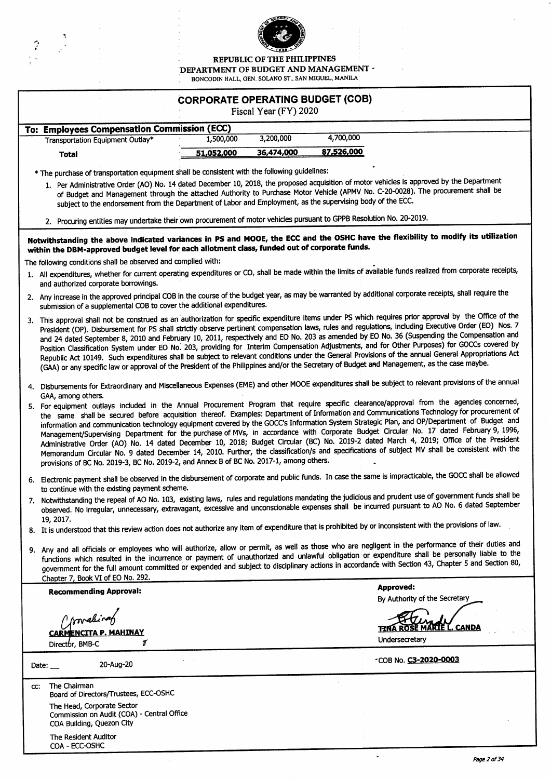

REPUBLIC OF THE PHILIPPINES

÷.

DEPARTMENT OF BUDGET AND MANAGEMENT -

BONCODIN HALL, GEN. SOLANO ST., SAN MIGUEL, MANILA  $\hat{\mathcal{A}}$ 

|     | <b>CORPORATE OPERATING BUDGET (COB)</b><br>Fiscal Year (FY) 2020                                                                                                                                                                                                                                                                                                                                                                                                                                 |            |            |            |                                                                                                                                                                                                                                                                                                                                                                                                                                                                                                                                                                                                                                                                                                                                                                                                                                                                              |  |  |  |
|-----|--------------------------------------------------------------------------------------------------------------------------------------------------------------------------------------------------------------------------------------------------------------------------------------------------------------------------------------------------------------------------------------------------------------------------------------------------------------------------------------------------|------------|------------|------------|------------------------------------------------------------------------------------------------------------------------------------------------------------------------------------------------------------------------------------------------------------------------------------------------------------------------------------------------------------------------------------------------------------------------------------------------------------------------------------------------------------------------------------------------------------------------------------------------------------------------------------------------------------------------------------------------------------------------------------------------------------------------------------------------------------------------------------------------------------------------------|--|--|--|
|     | To: Employees Compensation Commission (ECC)                                                                                                                                                                                                                                                                                                                                                                                                                                                      |            |            |            |                                                                                                                                                                                                                                                                                                                                                                                                                                                                                                                                                                                                                                                                                                                                                                                                                                                                              |  |  |  |
|     | <b>Transportation Equipment Outlay*</b>                                                                                                                                                                                                                                                                                                                                                                                                                                                          | 1,500,000  | 3,200,000  | 4,700,000  |                                                                                                                                                                                                                                                                                                                                                                                                                                                                                                                                                                                                                                                                                                                                                                                                                                                                              |  |  |  |
|     | <b>Total</b>                                                                                                                                                                                                                                                                                                                                                                                                                                                                                     | 51,052,000 | 36,474,000 | 87,526,000 |                                                                                                                                                                                                                                                                                                                                                                                                                                                                                                                                                                                                                                                                                                                                                                                                                                                                              |  |  |  |
|     |                                                                                                                                                                                                                                                                                                                                                                                                                                                                                                  |            |            |            |                                                                                                                                                                                                                                                                                                                                                                                                                                                                                                                                                                                                                                                                                                                                                                                                                                                                              |  |  |  |
|     | * The purchase of transportation equipment shall be consistent with the following guidelines:                                                                                                                                                                                                                                                                                                                                                                                                    |            |            |            |                                                                                                                                                                                                                                                                                                                                                                                                                                                                                                                                                                                                                                                                                                                                                                                                                                                                              |  |  |  |
|     | 1. Per Administrative Order (AO) No. 14 dated December 10, 2018, the proposed acquisition of motor vehicles is approved by the Department<br>of Budget and Management through the attached Authority to Purchase Motor Vehicle (APMV No. C-20-0028). The procurement shall be<br>subject to the endorsement from the Department of Labor and Employment, as the supervising body of the ECC.                                                                                                     |            |            |            |                                                                                                                                                                                                                                                                                                                                                                                                                                                                                                                                                                                                                                                                                                                                                                                                                                                                              |  |  |  |
|     | 2. Procuring entities may undertake their own procurement of motor vehicles pursuant to GPPB Resolution No. 20-2019.                                                                                                                                                                                                                                                                                                                                                                             |            |            |            |                                                                                                                                                                                                                                                                                                                                                                                                                                                                                                                                                                                                                                                                                                                                                                                                                                                                              |  |  |  |
|     | within the DBM-approved budget level for each allotment class, funded out of corporate funds.                                                                                                                                                                                                                                                                                                                                                                                                    |            |            |            | Notwithstanding the above indicated variances in PS and MOOE, the ECC and the OSHC have the flexibility to modify its utilization                                                                                                                                                                                                                                                                                                                                                                                                                                                                                                                                                                                                                                                                                                                                            |  |  |  |
|     | The following conditions shall be observed and complied with:                                                                                                                                                                                                                                                                                                                                                                                                                                    |            |            |            |                                                                                                                                                                                                                                                                                                                                                                                                                                                                                                                                                                                                                                                                                                                                                                                                                                                                              |  |  |  |
|     | and authorized corporate borrowings.                                                                                                                                                                                                                                                                                                                                                                                                                                                             |            |            |            | 1. All expenditures, whether for current operating expenditures or CO, shall be made within the limits of available funds realized from corporate receipts,                                                                                                                                                                                                                                                                                                                                                                                                                                                                                                                                                                                                                                                                                                                  |  |  |  |
|     | 2. Any increase in the approved principal COB in the course of the budget year, as may be warranted by additional corporate receipts, shall require the<br>submission of a supplemental COB to cover the additional expenditures.                                                                                                                                                                                                                                                                |            |            |            |                                                                                                                                                                                                                                                                                                                                                                                                                                                                                                                                                                                                                                                                                                                                                                                                                                                                              |  |  |  |
|     | (GAA) or any specific law or approval of the President of the Philippines and/or the Secretary of Budget and Management, as the case maybe.                                                                                                                                                                                                                                                                                                                                                      |            |            |            | 3. This approval shall not be construed as an authorization for specific expenditure items under PS which requires prior approval by the Office of the<br>President (OP). Disbursement for PS shall strictly observe pertinent compensation laws, rules and regulations, including Executive Order (EO) Nos. 7<br>and 24 dated September 8, 2010 and February 10, 2011, respectively and EO No. 203 as amended by EO No. 36 (Suspending the Compensation and<br>Position Classification System under EO No. 203, providing for Interim Compensation Adjustments, and for Other Purposes) for GOCCs covered by<br>Republic Act 10149. Such expenditures shall be subject to relevant conditions under the General Provisions of the annual General Appropriations Act                                                                                                         |  |  |  |
|     | GAA, among others.                                                                                                                                                                                                                                                                                                                                                                                                                                                                               |            |            |            | 4. Disbursements for Extraordinary and Miscellaneous Expenses (EME) and other MOOE expenditures shall be subject to relevant provisions of the annual                                                                                                                                                                                                                                                                                                                                                                                                                                                                                                                                                                                                                                                                                                                        |  |  |  |
|     | provisions of BC No. 2019-3, BC No. 2019-2, and Annex B of BC No. 2017-1, among others.                                                                                                                                                                                                                                                                                                                                                                                                          |            |            |            | 5. For equipment outlays included in the Annual Procurement Program that require specific clearance/approval from the agencies concerned,<br>the same shall be secured before acquisition thereof. Examples: Department of Information and Communications Technology for procurement of<br>information and communication technology equipment covered by the GOCC's Information System Strategic Plan, and OP/Department of Budget and<br>Management/Supervising Department for the purchase of MVs, in accordance with Corporate Budget Circular No. 17 dated February 9, 1996,<br>Administrative Order (AO) No. 14 dated December 10, 2018; Budget Circular (BC) No. 2019-2 dated March 4, 2019; Office of the President<br>Memorandum Circular No. 9 dated December 14, 2010. Further, the classification/s and specifications of subject MV shall be consistent with the |  |  |  |
|     | to continue with the existing payment scheme.                                                                                                                                                                                                                                                                                                                                                                                                                                                    |            |            |            | 6. Electronic payment shall be observed in the disbursement of corporate and public funds. In case the same is impracticable, the GOCC shall be allowed                                                                                                                                                                                                                                                                                                                                                                                                                                                                                                                                                                                                                                                                                                                      |  |  |  |
|     | 19, 2017.                                                                                                                                                                                                                                                                                                                                                                                                                                                                                        |            |            |            | 7. Notwithstanding the repeal of AO No. 103, existing laws, rules and regulations mandating the judicious and prudent use of government funds shall be<br>observed. No irregular, unnecessary, extravagant, excessive and unconscionable expenses shall be incurred pursuant to AO No. 6 dated September                                                                                                                                                                                                                                                                                                                                                                                                                                                                                                                                                                     |  |  |  |
|     | 8. It is understood that this review action does not authorize any item of expenditure that is prohibited by or inconsistent with the provisions of law.                                                                                                                                                                                                                                                                                                                                         |            |            |            |                                                                                                                                                                                                                                                                                                                                                                                                                                                                                                                                                                                                                                                                                                                                                                                                                                                                              |  |  |  |
|     | 9. Any and all officials or employees who will authorize, allow or permit, as well as those who are negligent in the performance of their duties and<br>functions which resulted in the incurrence or payment of unauthorized and unlawful obligation or expenditure shall be personally liable to the<br>government for the full amount committed or expended and subject to disciplinary actions in accordance with Section 43, Chapter 5 and Section 80,<br>Chapter 7, Book VI of EO No. 292. |            |            |            |                                                                                                                                                                                                                                                                                                                                                                                                                                                                                                                                                                                                                                                                                                                                                                                                                                                                              |  |  |  |
|     | <b>Recommending Approval:</b>                                                                                                                                                                                                                                                                                                                                                                                                                                                                    |            |            |            | <b>Approved:</b>                                                                                                                                                                                                                                                                                                                                                                                                                                                                                                                                                                                                                                                                                                                                                                                                                                                             |  |  |  |
|     |                                                                                                                                                                                                                                                                                                                                                                                                                                                                                                  |            |            |            | By Authority of the Secretary                                                                                                                                                                                                                                                                                                                                                                                                                                                                                                                                                                                                                                                                                                                                                                                                                                                |  |  |  |
|     | <i>I'malina</i>                                                                                                                                                                                                                                                                                                                                                                                                                                                                                  |            |            |            |                                                                                                                                                                                                                                                                                                                                                                                                                                                                                                                                                                                                                                                                                                                                                                                                                                                                              |  |  |  |
|     | MAHINAY<br><b>CARMENCITA P</b>                                                                                                                                                                                                                                                                                                                                                                                                                                                                   |            |            |            | CANDA                                                                                                                                                                                                                                                                                                                                                                                                                                                                                                                                                                                                                                                                                                                                                                                                                                                                        |  |  |  |
|     | Г<br>Director, BMB-C                                                                                                                                                                                                                                                                                                                                                                                                                                                                             |            |            |            | Undersecretary                                                                                                                                                                                                                                                                                                                                                                                                                                                                                                                                                                                                                                                                                                                                                                                                                                                               |  |  |  |
|     | 20-Aug-20<br>Date: $\_\_$                                                                                                                                                                                                                                                                                                                                                                                                                                                                        |            |            |            | *COB No. C3-2020-0003                                                                                                                                                                                                                                                                                                                                                                                                                                                                                                                                                                                                                                                                                                                                                                                                                                                        |  |  |  |
| CC: | The Chairman<br>Board of Directors/Trustees, ECC-OSHC                                                                                                                                                                                                                                                                                                                                                                                                                                            |            |            |            |                                                                                                                                                                                                                                                                                                                                                                                                                                                                                                                                                                                                                                                                                                                                                                                                                                                                              |  |  |  |
|     | The Head, Corporate Sector<br>Commission on Audit (COA) - Central Office                                                                                                                                                                                                                                                                                                                                                                                                                         |            |            |            |                                                                                                                                                                                                                                                                                                                                                                                                                                                                                                                                                                                                                                                                                                                                                                                                                                                                              |  |  |  |
|     | COA Building, Quezon City<br>The Resident Auditor<br>COA - ECC-OSHC                                                                                                                                                                                                                                                                                                                                                                                                                              |            |            |            |                                                                                                                                                                                                                                                                                                                                                                                                                                                                                                                                                                                                                                                                                                                                                                                                                                                                              |  |  |  |

 $\ddot{\phantom{0}}$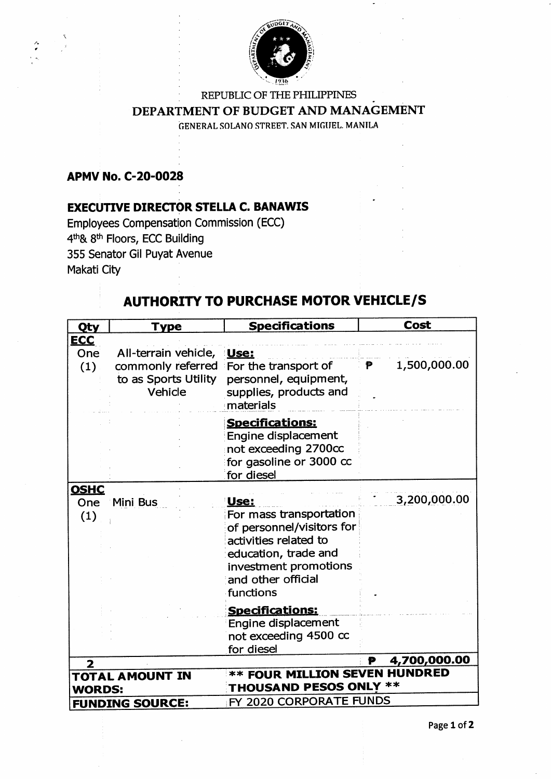

## REPUBLIC OF THE PHILIPPINES DEPARTMENT OF BUDGET AND MANAGEMENT GENERAL SOLANO STREET. SAN MIGUEL. MANILA

## **APMV No. C-20-0028**

## **EXECUTIVE DIRECTOR STELLA C. BANAWIS**

Employees Compensation Commission (ECC) 4th& 8th Floors, ECC Building 355 Senator Gil Puyat Avenue Makati City

## **AUTHORITY TO PURCHASE MOTOR VEHICLE/S**

| <b>Qty</b>              | Type                                                 | <b>Specifications</b>                                                                                                                                                     | Cost                |
|-------------------------|------------------------------------------------------|---------------------------------------------------------------------------------------------------------------------------------------------------------------------------|---------------------|
| <b>ECC</b>              |                                                      |                                                                                                                                                                           |                     |
| One                     | All-terrain vehicle,                                 | Use:                                                                                                                                                                      |                     |
| (1)                     | commonly referred<br>to as Sports Utility<br>Vehicle | For the transport of<br>personnel, equipment,<br>supplies, products and<br>materials                                                                                      | 1,500,000.00<br>P - |
|                         |                                                      | <b>Specifications:</b><br>Engine displacement<br>not exceeding 2700cc<br>for gasoline or 3000 cc<br>for diesel                                                            |                     |
| <b>OSHC</b>             |                                                      |                                                                                                                                                                           |                     |
| One<br>(1)              | Mini Bus                                             | Use:<br>For mass transportation<br>of personnel/visitors for<br>activities related to<br>education, trade and<br>investment promotions<br>and other official<br>functions | 3,200,000.00        |
|                         |                                                      | <b>Specifications:</b>                                                                                                                                                    |                     |
|                         |                                                      | Engine displacement<br>not exceeding 4500 cc<br>for diesel                                                                                                                |                     |
| $\overline{\mathbf{2}}$ |                                                      |                                                                                                                                                                           | 4,700,000.00<br>P   |
|                         | <b>TOTAL AMOUNT IN</b>                               | <b>** FOUR MILLION SEVEN HUNDRED</b>                                                                                                                                      |                     |
| <b>WORDS:</b>           |                                                      | <b>THOUSAND PESOS ONLY **</b>                                                                                                                                             |                     |
|                         | <b>FUNDING SOURCE:</b>                               | FY 2020 CORPORATE FUNDS                                                                                                                                                   |                     |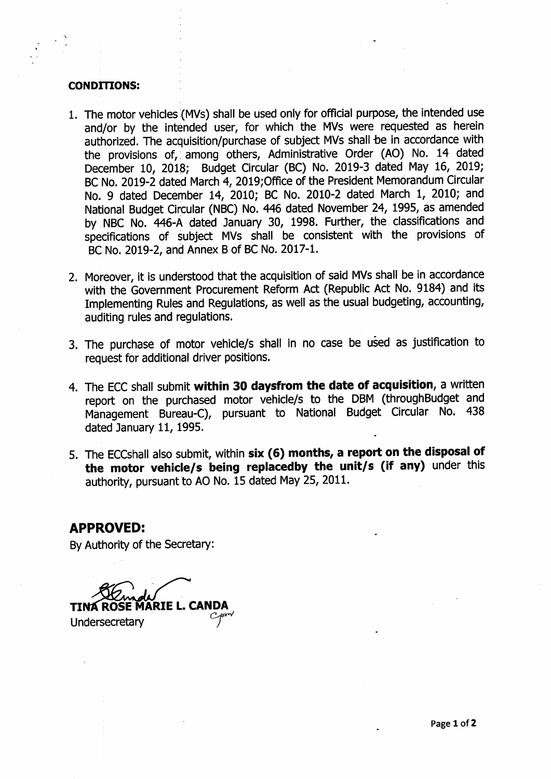#### **CONDITIONS:**

- 1. The motor vehicles (MVs) shall be used only for official purpose, the intended use and/or by the intended user, for which the MVs were requested as herein authorized. The acquisition/purchase of subject MVs shall be in accordance with the provisions of, among others, Administrative Order (AO) No. 14 dated December 10, 2018; Budget Circular (BC) No. 2019-3 dated May 16, 2019; BC No. 2019-2 dated March 4, 2019;Office of the President Memorandum Circular No. 9 dated December 14, 2010; BC No. 2010-2 dated March 1, 2010; and National Budget Circular (NBC) No. 446 dated November 24, 1995, as amended by NBC No. 446-A dated January 30, 1998. Further, the classifications and specifications of subject MVs shall be consistent with the provisions of BC No. 2019-2, and Annex B of BC No. 2017-1.
- 2. Moreover, it is understood that the acqulsition of said MVs shall be in accordance with the Government Procurement Reform Act (Republic Act No. 9184) and its Implementing Rules and Regulations, as well as the usual budgeting, accounting, auditing rules and regulations.
- 3. The purchase of motor vehicle/s shall ln no case be used as justification to request for additional driver positions.
- 4. The ECC shall submit within 30 daysfrom the date of acquisition, a written report on the purchased motor vehicle/s to the DBM (throughBudget and Management Bureau-C), pursuant to Nauonal Budget Circular No. 438 dated January 11, 1995.
- 5. The ECCshall also submit, within six (6) months, a report on the disposal of the motor vehicle/s being replacedby the unit/s (if any) under this authority, pursuant to AO No. 15 dated May 25, 2011.

### **APPROVED:**

By Authority of the Secretary:

Undersecretary **L. CANDA**<br>*Componer*